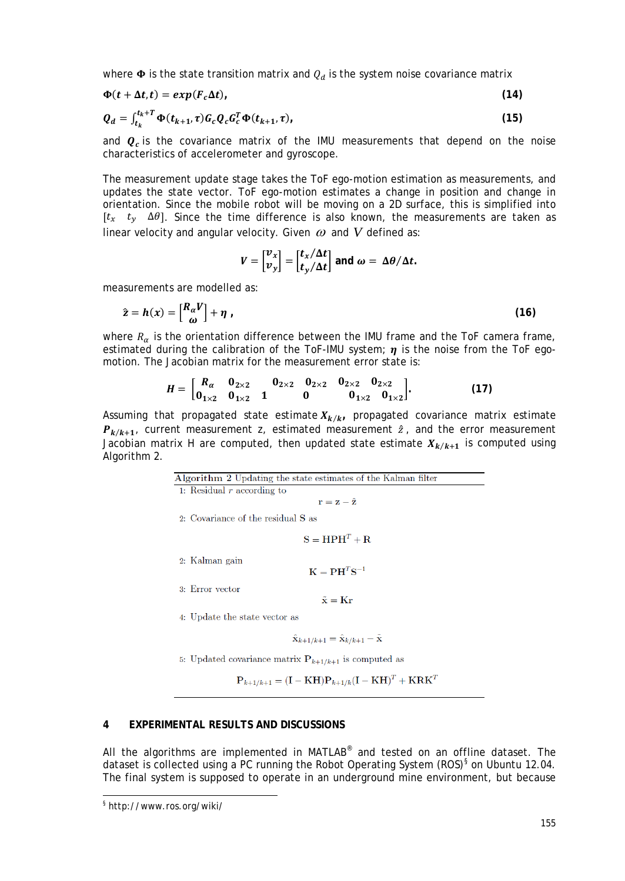where  $\Phi$  is the state transition matrix and  $Q_d$  is the system noise covariance matrix

$$
\Phi(t + \Delta t, t) = exp(F_c \Delta t), \qquad (14)
$$

$$
Q_d = \int_{t_k}^{t_k+T} \Phi(t_{k+1}, \tau) G_c Q_c G_c^T \Phi(t_{k+1}, \tau), \qquad (15)
$$

and  $\mathbf{Q}_r$  is the covariance matrix of the IMU measurements that depend on the noise characteristics of accelerometer and gyroscope.

The measurement update stage takes the ToF ego-motion estimation as measurements, and updates the state vector. ToF ego-motion estimates a change in position and change in orientation. Since the mobile robot will be moving on a 2D surface, this is simplified into [ $t_x$   $t_y$   $\Delta\theta$ ]. Since the time difference is also known, the measurements are taken as linear velocity and angular velocity. Given  $\omega$  and  $V$  defined as:

$$
V = \begin{bmatrix} v_x \\ v_y \end{bmatrix} = \begin{bmatrix} t_x/\Delta t \\ t_y/\Delta t \end{bmatrix}
$$
 and  $\omega = \Delta \theta / \Delta t$ .

measurements are modelled as:

$$
\hat{\mathbf{z}} = \mathbf{h}(\mathbf{x}) = \begin{bmatrix} R_{\alpha} V \\ \omega \end{bmatrix} + \eta \tag{16}
$$

where  $R_{\alpha}$  is the orientation difference between the IMU frame and the ToF camera frame, estimated during the calibration of the ToF-IMU system;  $\eta$  is the noise from the ToF egomotion. The Jacobian matrix for the measurement error state is:

$$
H = \begin{bmatrix} R_{\alpha} & 0_{2\times 2} & 0_{2\times 2} & 0_{2\times 2} & 0_{2\times 2} & 0_{2\times 2} \\ 0_{1\times 2} & 0_{1\times 2} & 1 & 0 & 0_{1\times 2} & 0_{1\times 2} \end{bmatrix}.
$$
 (17)

Assuming that propagated state estimate  $X_{k/k}$ , propagated covariance matrix estimate  $P_{k/k+1}$ , current measurement z, estimated measurement  $\hat{z}$ , and the error measurement Jacobian matrix H are computed, then updated state estimate  $X_{k/k+1}$  is computed using Algorithm 2.

| Algorithm 2 Updating the state estimates of the Kalman filter                                                                                          |
|--------------------------------------------------------------------------------------------------------------------------------------------------------|
| 1: Residual $r$ according to                                                                                                                           |
| $\mathbf{r} = \mathbf{z} - \hat{\mathbf{z}}$                                                                                                           |
| 2: Covariance of the residual S as                                                                                                                     |
| $S = HPHT + R$                                                                                                                                         |
| 2: Kalman gain<br>$K = PH^{T}S^{-1}$                                                                                                                   |
| 3: Error vector                                                                                                                                        |
| $\tilde{\mathbf{x}} = \mathbf{Kr}$                                                                                                                     |
| 4: Update the state vector as                                                                                                                          |
| $\hat{\mathbf{x}}_{k+1/k+1} = \hat{\mathbf{x}}_{k/k+1} - \tilde{\mathbf{x}}$                                                                           |
| 5. Updated covariance matrix $P_{k+1/k+1}$ is computed as                                                                                              |
| $\mathbf{P}_{k+1/k+1} = (\mathbf{I} - \mathbf{K}\mathbf{H})\mathbf{P}_{k+1/k}(\mathbf{I} - \mathbf{K}\mathbf{H})^T + \mathbf{K}\mathbf{R}\mathbf{K}^T$ |

## **4 EXPERIMENTAL RESULTS AND DISCUSSIONS**

All the algorithms are implemented in MATLAB® and tested on an offline dataset. The dataset is collected using a PC running the Robot Operating System (ROS) $\frac{1}{5}$  on Ubuntu 12.04. The final system is supposed to operate in an underground mine environment, but because

<span id="page-10-0"></span><sup>§</sup> http://www.ros.org/wiki/ -